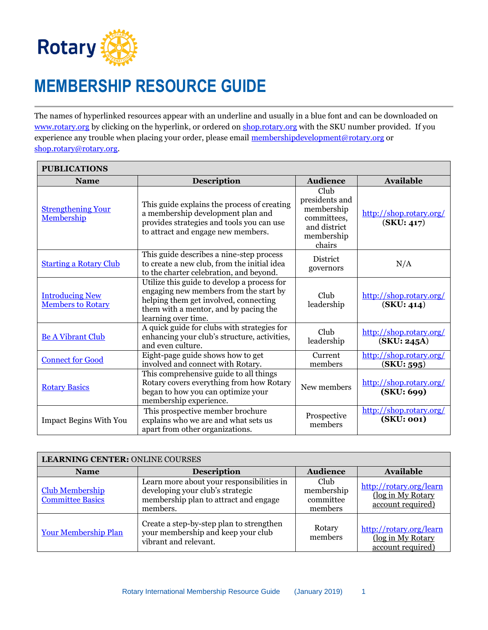

## **MEMBERSHIP RESOURCE GUIDE**

The names of hyperlinked resources appear with an underline and usually in a blue font and can be downloaded on [www.rotary.org](http://www.rotary.org/) by clicking on the hyperlink, or ordered o[n shop.rotary.org](http://www.shop.rotary.org/) with the SKU number provided. If you experience any trouble when placing your order, please email [membershipdevelopment@rotary.org](mailto:membershipdevelopment@rotary.org) or [shop.rotary@rotary.org.](mailto:shop.rotary@rotary.org)

| <b>PUBLICATIONS</b>                                |                                                                                                                                                                                                |                                                                                             |                                        |  |
|----------------------------------------------------|------------------------------------------------------------------------------------------------------------------------------------------------------------------------------------------------|---------------------------------------------------------------------------------------------|----------------------------------------|--|
| <b>Name</b>                                        | <b>Description</b>                                                                                                                                                                             | <b>Audience</b>                                                                             | <b>Available</b>                       |  |
| <b>Strengthening Your</b><br>Membership            | This guide explains the process of creating<br>a membership development plan and<br>provides strategies and tools you can use<br>to attract and engage new members.                            | Club<br>presidents and<br>membership<br>committees,<br>and district<br>membership<br>chairs | http://shop.rotary.org/<br>(SKU: 417)  |  |
| <b>Starting a Rotary Club</b>                      | This guide describes a nine-step process<br>to create a new club, from the initial idea<br>to the charter celebration, and beyond.                                                             | <b>District</b><br>governors                                                                | N/A                                    |  |
| <b>Introducing New</b><br><b>Members to Rotary</b> | Utilize this guide to develop a process for<br>engaging new members from the start by<br>helping them get involved, connecting<br>them with a mentor, and by pacing the<br>learning over time. | Club<br>leadership                                                                          | http://shop.rotary.org/<br>(SKU: 414)  |  |
| <b>Be A Vibrant Club</b>                           | A quick guide for clubs with strategies for<br>enhancing your club's structure, activities,<br>and even culture.                                                                               | Club<br>leadership                                                                          | http://shop.rotary.org/<br>(SKU: 245A) |  |
| <b>Connect for Good</b>                            | Eight-page guide shows how to get<br>involved and connect with Rotary.                                                                                                                         | Current<br>members                                                                          | http://shop.rotary.org/<br>(SKU: 595)  |  |
| <b>Rotary Basics</b>                               | This comprehensive guide to all things<br>Rotary covers everything from how Rotary<br>began to how you can optimize your<br>membership experience.                                             | New members                                                                                 | http://shop.rotary.org/<br>(SKU: 699)  |  |
| <b>Impact Begins With You</b>                      | This prospective member brochure<br>explains who we are and what sets us<br>apart from other organizations.                                                                                    | Prospective<br>members                                                                      | http://shop.rotary.org/<br>(SKU: 001)  |  |

| <b>LEARNING CENTER: ONLINE COURSES</b>            |                                                                                                                                    |                                            |                                                                   |
|---------------------------------------------------|------------------------------------------------------------------------------------------------------------------------------------|--------------------------------------------|-------------------------------------------------------------------|
| <b>Name</b>                                       | <b>Description</b>                                                                                                                 | <b>Audience</b>                            | <b>Available</b>                                                  |
| <b>Club Membership</b><br><b>Committee Basics</b> | Learn more about your responsibilities in<br>developing your club's strategic<br>membership plan to attract and engage<br>members. | Club<br>membership<br>committee<br>members | http://rotary.org/learn<br>(log in My Rotary<br>account required) |
| <b>Your Membership Plan</b>                       | Create a step-by-step plan to strengthen<br>your membership and keep your club<br>vibrant and relevant.                            | Rotary<br>members                          | http://rotary.org/learn<br>(log in My Rotary<br>account required) |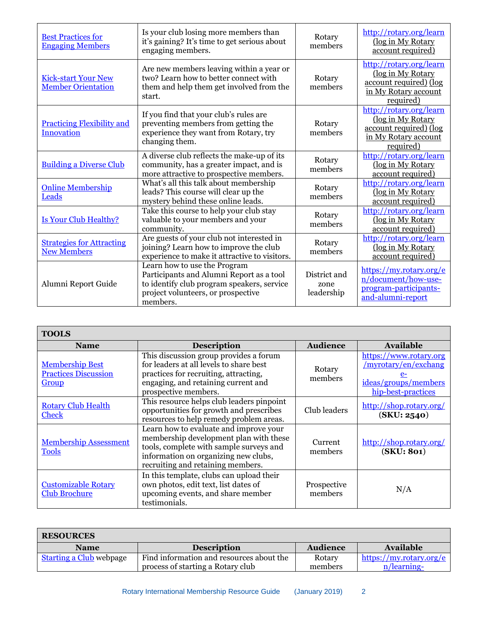| <b>Best Practices for</b><br><b>Engaging Members</b>    | Is your club losing more members than<br>it's gaining? It's time to get serious about<br>engaging members.                                                               | Rotary<br>members                  | http://rotary.org/learn<br>(log in My Rotary<br>account required)                                           |
|---------------------------------------------------------|--------------------------------------------------------------------------------------------------------------------------------------------------------------------------|------------------------------------|-------------------------------------------------------------------------------------------------------------|
| <b>Kick-start Your New</b><br><b>Member Orientation</b> | Are new members leaving within a year or<br>two? Learn how to better connect with<br>them and help them get involved from the<br>start.                                  | Rotary<br>members                  | http://rotary.org/learn<br>(log in My Rotary<br>account required) (log<br>in My Rotary account<br>required) |
| <b>Practicing Flexibility and</b><br><b>Innovation</b>  | If you find that your club's rules are<br>preventing members from getting the<br>experience they want from Rotary, try<br>changing them.                                 | Rotary<br>members                  | http://rotary.org/learn<br>(log in My Rotary<br>account required) (log<br>in My Rotary account<br>required) |
| <b>Building a Diverse Club</b>                          | A diverse club reflects the make-up of its<br>community, has a greater impact, and is<br>more attractive to prospective members.                                         | Rotary<br>members                  | http://rotary.org/learn<br>(log in My Rotary<br>account required)                                           |
| <b>Online Membership</b><br>Leads                       | What's all this talk about membership<br>leads? This course will clear up the<br>mystery behind these online leads.                                                      | Rotary<br>members                  | http://rotary.org/learn<br>(log in My Rotary<br>account required)                                           |
| Is Your Club Healthy?                                   | Take this course to help your club stay<br>valuable to your members and your<br>community.                                                                               | Rotary<br>members                  | http://rotary.org/learn<br>(log in My Rotary<br>account required)                                           |
| <b>Strategies for Attracting</b><br><b>New Members</b>  | Are guests of your club not interested in<br>joining? Learn how to improve the club<br>experience to make it attractive to visitors.                                     | Rotary<br>members                  | http://rotary.org/learn<br>(log in My Rotary<br>account required)                                           |
| Alumni Report Guide                                     | Learn how to use the Program<br>Participants and Alumni Report as a tool<br>to identify club program speakers, service<br>project volunteers, or prospective<br>members. | District and<br>zone<br>leadership | https://my.rotary.org/e<br>n/document/how-use-<br>program-participants-<br>and-alumni-report                |

| <b>TOOLS</b>                                                   |                                                                                                                                                                                                          |                        |                                                                                                      |
|----------------------------------------------------------------|----------------------------------------------------------------------------------------------------------------------------------------------------------------------------------------------------------|------------------------|------------------------------------------------------------------------------------------------------|
| <b>Name</b>                                                    | <b>Description</b>                                                                                                                                                                                       | <b>Audience</b>        | Available                                                                                            |
| <b>Membership Best</b><br><b>Practices Discussion</b><br>Group | This discussion group provides a forum<br>for leaders at all levels to share best<br>practices for recruiting, attracting,<br>engaging, and retaining current and<br>prospective members.                | Rotary<br>members      | https://www.rotary.org<br>/myrotary/en/exchang<br>$e-$<br>ideas/groups/members<br>hip-best-practices |
| <b>Rotary Club Health</b><br><b>Check</b>                      | This resource helps club leaders pinpoint<br>opportunities for growth and prescribes<br>resources to help remedy problem areas.                                                                          | Club leaders           | http://shop.rotary.org/<br>(SKU: 2540)                                                               |
| <b>Membership Assessment</b><br><b>Tools</b>                   | Learn how to evaluate and improve your<br>membership development plan with these<br>tools, complete with sample surveys and<br>information on organizing new clubs,<br>recruiting and retaining members. | Current<br>members     | http://shop.rotary.org/<br>(SKU: 801)                                                                |
| <b>Customizable Rotary</b><br>Club Brochure                    | In this template, clubs can upload their<br>own photos, edit text, list dates of<br>upcoming events, and share member<br>testimonials.                                                                   | Prospective<br>members | N/A                                                                                                  |

| <b>RESOURCES</b>               |                                          |                 |                         |
|--------------------------------|------------------------------------------|-----------------|-------------------------|
| <b>Name</b>                    | <b>Description</b>                       | <b>Audience</b> | Available               |
| <b>Starting a Club</b> webpage | Find information and resources about the | Rotary          | https://my.rotary.org/e |
|                                | process of starting a Rotary club        | members         | n/learning-             |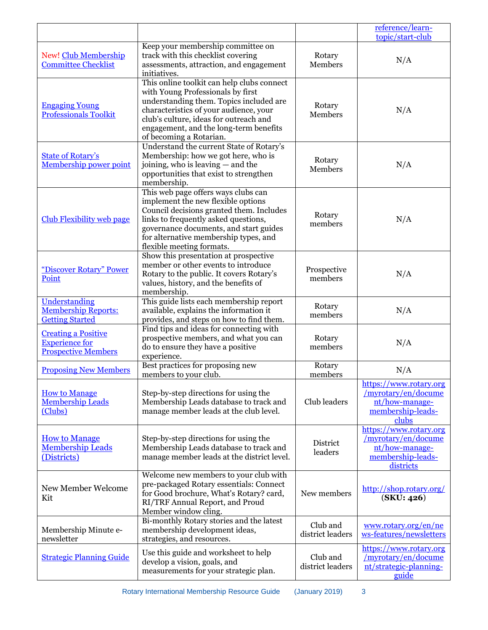|                                                                                   |                                                                                                                                                                                                                                                                                     |                              | reference/learn-<br>topic/start-club                                                              |
|-----------------------------------------------------------------------------------|-------------------------------------------------------------------------------------------------------------------------------------------------------------------------------------------------------------------------------------------------------------------------------------|------------------------------|---------------------------------------------------------------------------------------------------|
| New! Club Membership<br><b>Committee Checklist</b>                                | Keep your membership committee on<br>track with this checklist covering<br>assessments, attraction, and engagement<br>initiatives.                                                                                                                                                  | Rotary<br>Members            | N/A                                                                                               |
| <b>Engaging Young</b><br><b>Professionals Toolkit</b>                             | This online toolkit can help clubs connect<br>with Young Professionals by first<br>understanding them. Topics included are<br>characteristics of your audience, your<br>club's culture, ideas for outreach and<br>engagement, and the long-term benefits<br>of becoming a Rotarian. | Rotary<br>Members            | N/A                                                                                               |
| <b>State of Rotary's</b><br>Membership power point                                | Understand the current State of Rotary's<br>Membership: how we got here, who is<br>joining, who is leaving – and the<br>opportunities that exist to strengthen<br>membership.                                                                                                       | Rotary<br>Members            | N/A                                                                                               |
| <b>Club Flexibility web page</b>                                                  | This web page offers ways clubs can<br>implement the new flexible options<br>Council decisions granted them. Includes<br>links to frequently asked questions,<br>governance documents, and start guides<br>for alternative membership types, and<br>flexible meeting formats.       | Rotary<br>members            | N/A                                                                                               |
| "Discover Rotary" Power<br>Point                                                  | Show this presentation at prospective<br>member or other events to introduce<br>Rotary to the public. It covers Rotary's<br>values, history, and the benefits of<br>membership.                                                                                                     | Prospective<br>members       | N/A                                                                                               |
| Understanding<br><b>Membership Reports:</b><br><b>Getting Started</b>             | This guide lists each membership report<br>available, explains the information it<br>provides, and steps on how to find them.                                                                                                                                                       | Rotary<br>members            | N/A                                                                                               |
| <b>Creating a Positive</b><br><b>Experience for</b><br><b>Prospective Members</b> | Find tips and ideas for connecting with<br>prospective members, and what you can<br>do to ensure they have a positive<br>experience.                                                                                                                                                | Rotary<br>members            | N/A                                                                                               |
| <b>Proposing New Members</b>                                                      | Best practices for proposing new<br>members to your club.                                                                                                                                                                                                                           | Rotary<br>members            | N/A                                                                                               |
| <b>How to Manage</b><br><b>Membership Leads</b><br>(Clubs)                        | Step-by-step directions for using the<br>Membership Leads database to track and<br>manage member leads at the club level.                                                                                                                                                           | Club leaders                 | https://www.rotary.org<br>/myrotary/en/docume<br>nt/how-manage-<br>membership-leads-<br>clubs     |
| <b>How to Manage</b><br><b>Membership Leads</b><br>(Districts)                    | Step-by-step directions for using the<br>Membership Leads database to track and<br>manage member leads at the district level.                                                                                                                                                       | District<br>leaders          | https://www.rotary.org<br>/myrotary/en/docume<br>nt/how-manage-<br>membership-leads-<br>districts |
| New Member Welcome<br>Kit                                                         | Welcome new members to your club with<br>pre-packaged Rotary essentials: Connect<br>for Good brochure, What's Rotary? card,<br>RI/TRF Annual Report, and Proud<br>Member window cling.                                                                                              | New members                  | http://shop.rotary.org/<br>(SKU: 426)                                                             |
| Membership Minute e-<br>newsletter                                                | Bi-monthly Rotary stories and the latest<br>membership development ideas,<br>strategies, and resources.                                                                                                                                                                             | Club and<br>district leaders | www.rotary.org/en/ne<br>ws-features/newsletters                                                   |
| <b>Strategic Planning Guide</b>                                                   | Use this guide and worksheet to help<br>develop a vision, goals, and<br>measurements for your strategic plan.                                                                                                                                                                       | Club and<br>district leaders | https://www.rotary.org<br>/myrotary/en/docume<br>nt/strategic-planning-<br>guide                  |